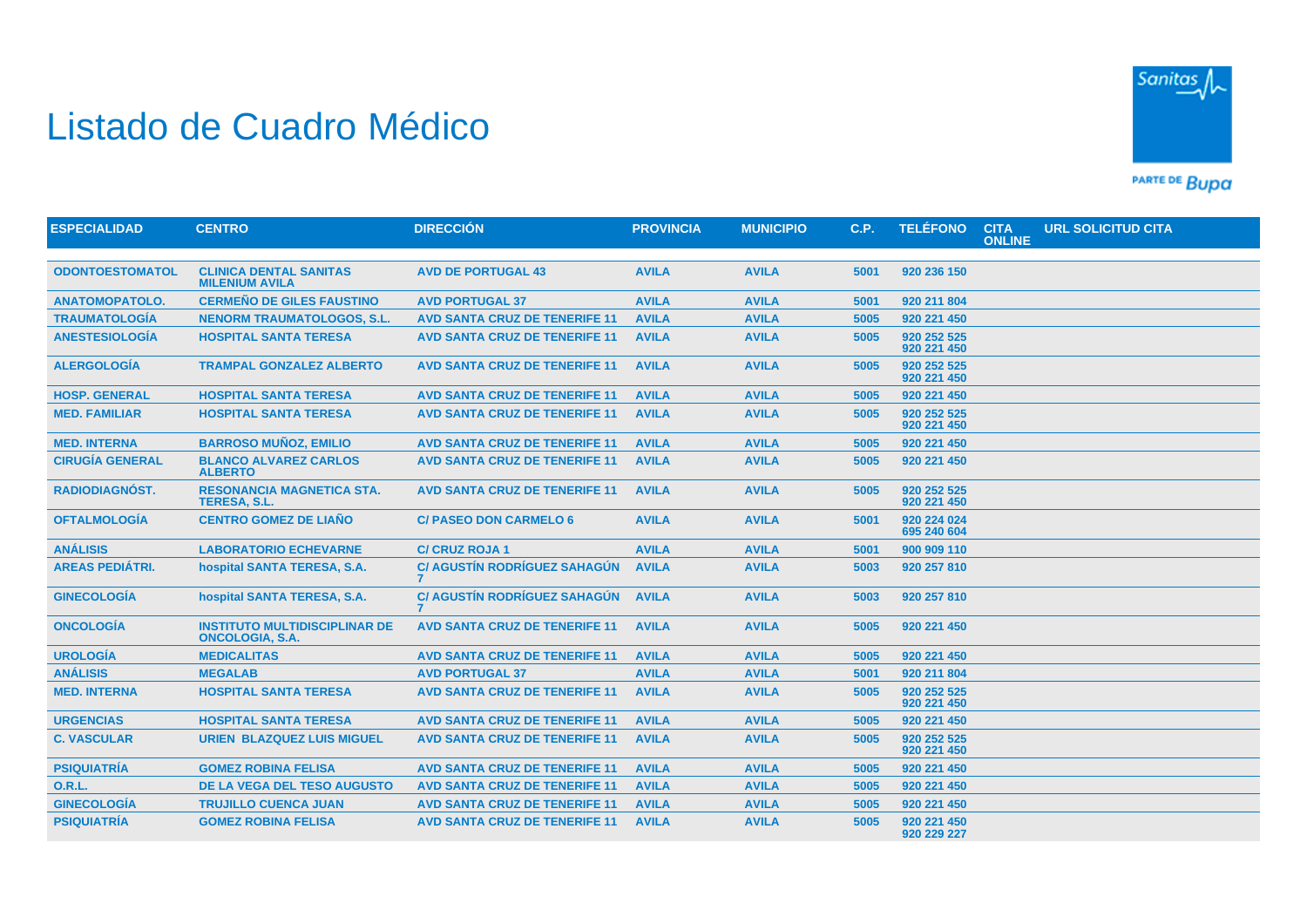## Listado de Cuadro Médico



PARTE DE BUDA

| <b>ESPECIALIDAD</b>    | <b>CENTRO</b>                                                  | <b>DIRECCIÓN</b>                     | <b>PROVINCIA</b> | <b>MUNICIPIO</b> | C.P. | <b>TELÉFONO</b>            | <b>CITA</b><br><b>ONLINE</b> | <b>URL SOLICITUD CITA</b> |
|------------------------|----------------------------------------------------------------|--------------------------------------|------------------|------------------|------|----------------------------|------------------------------|---------------------------|
|                        |                                                                |                                      |                  |                  |      |                            |                              |                           |
| <b>ODONTOESTOMATOL</b> | <b>CLINICA DENTAL SANITAS</b><br><b>MILENIUM AVILA</b>         | <b>AVD DE PORTUGAL 43</b>            | <b>AVILA</b>     | <b>AVILA</b>     | 5001 | 920 236 150                |                              |                           |
| <b>ANATOMOPATOLO.</b>  | <b>CERMEÑO DE GILES FAUSTINO</b>                               | <b>AVD PORTUGAL 37</b>               | <b>AVILA</b>     | <b>AVILA</b>     | 5001 | 920 211 804                |                              |                           |
| <b>TRAUMATOLOGIA</b>   | <b>NENORM TRAUMATOLOGOS, S.L.</b>                              | <b>AVD SANTA CRUZ DE TENERIFE 11</b> | <b>AVILA</b>     | <b>AVILA</b>     | 5005 | 920 221 450                |                              |                           |
| <b>ANESTESIOLOGÍA</b>  | <b>HOSPITAL SANTA TERESA</b>                                   | <b>AVD SANTA CRUZ DE TENERIFE 11</b> | <b>AVILA</b>     | <b>AVILA</b>     | 5005 | 920 252 525<br>920 221 450 |                              |                           |
| <b>ALERGOLOGÍA</b>     | <b>TRAMPAL GONZALEZ ALBERTO</b>                                | <b>AVD SANTA CRUZ DE TENERIFE 11</b> | <b>AVILA</b>     | <b>AVILA</b>     | 5005 | 920 252 525<br>920 221 450 |                              |                           |
| <b>HOSP. GENERAL</b>   | <b>HOSPITAL SANTA TERESA</b>                                   | <b>AVD SANTA CRUZ DE TENERIFE 11</b> | <b>AVILA</b>     | <b>AVILA</b>     | 5005 | 920 221 450                |                              |                           |
| <b>MED. FAMILIAR</b>   | <b>HOSPITAL SANTA TERESA</b>                                   | <b>AVD SANTA CRUZ DE TENERIFE 11</b> | <b>AVILA</b>     | <b>AVILA</b>     | 5005 | 920 252 525<br>920 221 450 |                              |                           |
| <b>MED. INTERNA</b>    | <b>BARROSO MUÑOZ, EMILIO</b>                                   | <b>AVD SANTA CRUZ DE TENERIFE 11</b> | <b>AVILA</b>     | <b>AVILA</b>     | 5005 | 920 221 450                |                              |                           |
| <b>CIRUGÍA GENERAL</b> | <b>BLANCO ALVAREZ CARLOS</b><br><b>ALBERTO</b>                 | <b>AVD SANTA CRUZ DE TENERIFE 11</b> | <b>AVILA</b>     | <b>AVILA</b>     | 5005 | 920 221 450                |                              |                           |
| <b>RADIODIAGNÓST.</b>  | <b>RESONANCIA MAGNETICA STA.</b><br><b>TERESA, S.L.</b>        | <b>AVD SANTA CRUZ DE TENERIFE 11</b> | <b>AVILA</b>     | <b>AVILA</b>     | 5005 | 920 252 525<br>920 221 450 |                              |                           |
| <b>OFTALMOLOGIA</b>    | <b>CENTRO GOMEZ DE LIAÑO</b>                                   | <b>C/ PASEO DON CARMELO 6</b>        | <b>AVILA</b>     | <b>AVILA</b>     | 5001 | 920 224 024<br>695 240 604 |                              |                           |
| <b>ANÁLISIS</b>        | <b>LABORATORIO ECHEVARNE</b>                                   | <b>C/ CRUZ ROJA 1</b>                | <b>AVILA</b>     | <b>AVILA</b>     | 5001 | 900 909 110                |                              |                           |
| <b>AREAS PEDIÁTRI.</b> | hospital SANTA TERESA, S.A.                                    | <b>C/ AGUSTÍN RODRÍGUEZ SAHAGÚN</b>  | <b>AVILA</b>     | <b>AVILA</b>     | 5003 | 920 257 810                |                              |                           |
| <b>GINECOLOGÍA</b>     | hospital SANTA TERESA, S.A.                                    | <b>C/ AGUSTÍN RODRÍGUEZ SAHAGÚN</b>  | <b>AVILA</b>     | <b>AVILA</b>     | 5003 | 920 257 810                |                              |                           |
| <b>ONCOLOGÍA</b>       | <b>INSTITUTO MULTIDISCIPLINAR DE</b><br><b>ONCOLOGIA, S.A.</b> | <b>AVD SANTA CRUZ DE TENERIFE 11</b> | <b>AVILA</b>     | <b>AVILA</b>     | 5005 | 920 221 450                |                              |                           |
| <b>UROLOGÍA</b>        | <b>MEDICALITAS</b>                                             | <b>AVD SANTA CRUZ DE TENERIFE 11</b> | <b>AVILA</b>     | <b>AVILA</b>     | 5005 | 920 221 450                |                              |                           |
| <b>ANÁLISIS</b>        | <b>MEGALAB</b>                                                 | <b>AVD PORTUGAL 37</b>               | <b>AVILA</b>     | <b>AVILA</b>     | 5001 | 920 211 804                |                              |                           |
| <b>MED. INTERNA</b>    | <b>HOSPITAL SANTA TERESA</b>                                   | <b>AVD SANTA CRUZ DE TENERIFE 11</b> | <b>AVILA</b>     | <b>AVILA</b>     | 5005 | 920 252 525<br>920 221 450 |                              |                           |
| <b>URGENCIAS</b>       | <b>HOSPITAL SANTA TERESA</b>                                   | <b>AVD SANTA CRUZ DE TENERIFE 11</b> | <b>AVILA</b>     | <b>AVILA</b>     | 5005 | 920 221 450                |                              |                           |
| <b>C. VASCULAR</b>     | <b>URIEN BLAZQUEZ LUIS MIGUEL</b>                              | <b>AVD SANTA CRUZ DE TENERIFE 11</b> | <b>AVILA</b>     | <b>AVILA</b>     | 5005 | 920 252 525<br>920 221 450 |                              |                           |
| <b>PSIQUIATRÍA</b>     | <b>GOMEZ ROBINA FELISA</b>                                     | <b>AVD SANTA CRUZ DE TENERIFE 11</b> | <b>AVILA</b>     | <b>AVILA</b>     | 5005 | 920 221 450                |                              |                           |
| <b>O.R.L.</b>          | DE LA VEGA DEL TESO AUGUSTO                                    | <b>AVD SANTA CRUZ DE TENERIFE 11</b> | <b>AVILA</b>     | <b>AVILA</b>     | 5005 | 920 221 450                |                              |                           |
| <b>GINECOLOGÍA</b>     | <b>TRUJILLO CUENCA JUAN</b>                                    | <b>AVD SANTA CRUZ DE TENERIFE 11</b> | <b>AVILA</b>     | <b>AVILA</b>     | 5005 | 920 221 450                |                              |                           |
| <b>PSIQUIATRÍA</b>     | <b>GOMEZ ROBINA FELISA</b>                                     | <b>AVD SANTA CRUZ DE TENERIFE 11</b> | <b>AVILA</b>     | <b>AVILA</b>     | 5005 | 920 221 450<br>920 229 227 |                              |                           |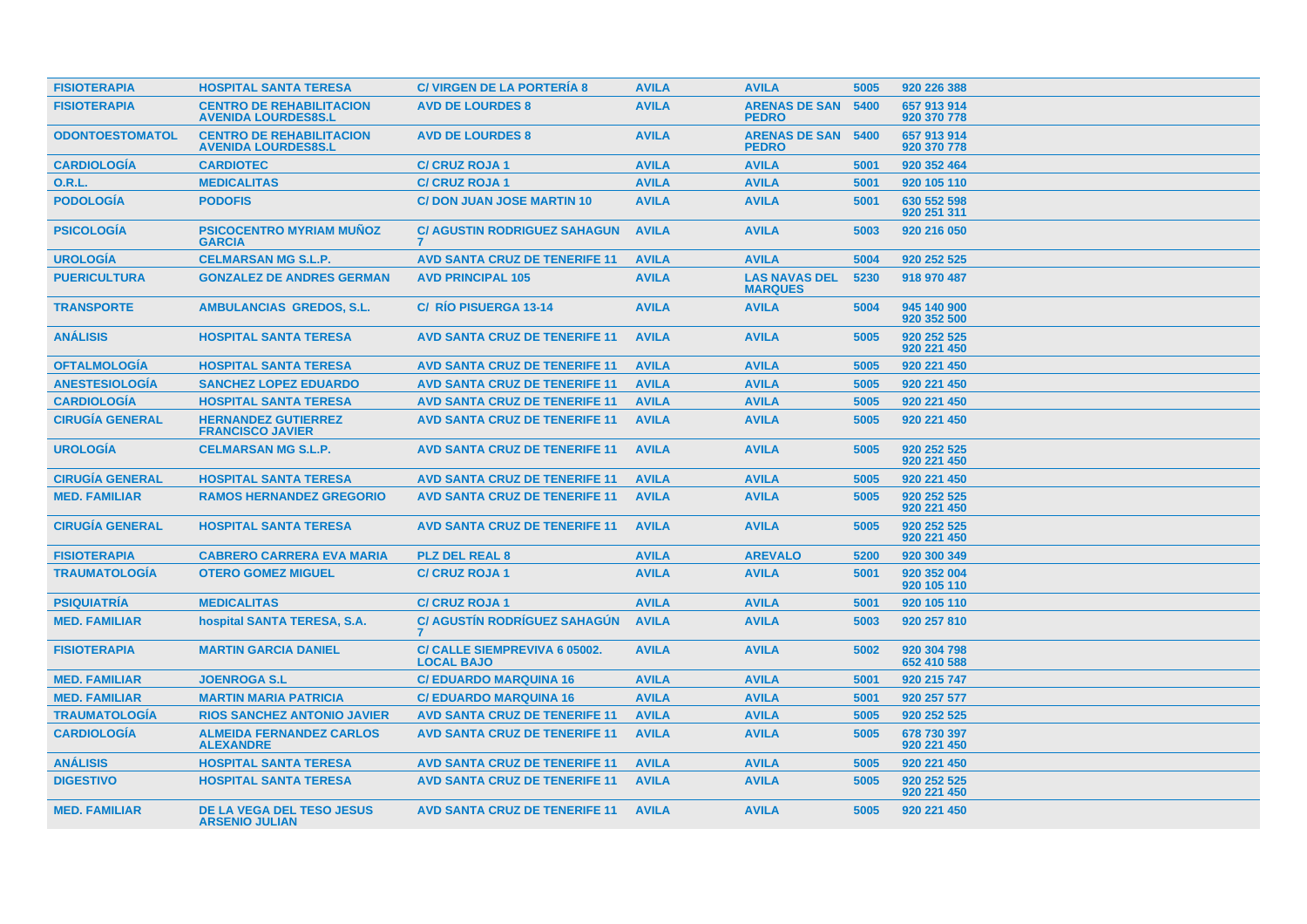| <b>FISIOTERAPIA</b>    | <b>HOSPITAL SANTA TERESA</b>                                  | <b>C/ VIRGEN DE LA PORTERIA 8</b>                              | <b>AVILA</b> | <b>AVILA</b>                              | 5005 | 920 226 388                |
|------------------------|---------------------------------------------------------------|----------------------------------------------------------------|--------------|-------------------------------------------|------|----------------------------|
| <b>FISIOTERAPIA</b>    | <b>CENTRO DE REHABILITACION</b><br><b>AVENIDA LOURDES8S.L</b> | <b>AVD DE LOURDES 8</b>                                        | <b>AVILA</b> | <b>ARENAS DE SAN 5400</b><br><b>PEDRO</b> |      | 657 913 914<br>920 370 778 |
| <b>ODONTOESTOMATOL</b> | <b>CENTRO DE REHABILITACION</b><br><b>AVENIDA LOURDES8S.L</b> | <b>AVD DE LOURDES 8</b>                                        | <b>AVILA</b> | <b>ARENAS DE SAN</b><br><b>PEDRO</b>      | 5400 | 657 913 914<br>920 370 778 |
| <b>CARDIOLOGÍA</b>     | <b>CARDIOTEC</b>                                              | <b>C/ CRUZ ROJA 1</b>                                          | <b>AVILA</b> | <b>AVILA</b>                              | 5001 | 920 352 464                |
| <b>O.R.L.</b>          | <b>MEDICALITAS</b>                                            | <b>C/ CRUZ ROJA 1</b>                                          | <b>AVILA</b> | <b>AVILA</b>                              | 5001 | 920 105 110                |
| <b>PODOLOGÍA</b>       | <b>PODOFIS</b>                                                | <b>C/DON JUAN JOSE MARTIN 10</b>                               | <b>AVILA</b> | <b>AVILA</b>                              | 5001 | 630 552 598<br>920 251 311 |
| <b>PSICOLOGÍA</b>      | <b>PSICOCENTRO MYRIAM MUÑOZ</b><br><b>GARCIA</b>              | <b>C/ AGUSTIN RODRIGUEZ SAHAGUN</b><br>$\overline{\mathbf{z}}$ | <b>AVILA</b> | <b>AVILA</b>                              | 5003 | 920 216 050                |
| <b>UROLOGIA</b>        | <b>CELMARSAN MG S.L.P.</b>                                    | <b>AVD SANTA CRUZ DE TENERIFE 11</b>                           | <b>AVILA</b> | <b>AVILA</b>                              | 5004 | 920 252 525                |
| <b>PUERICULTURA</b>    | <b>GONZALEZ DE ANDRES GERMAN</b>                              | <b>AVD PRINCIPAL 105</b>                                       | <b>AVILA</b> | <b>LAS NAVAS DEL</b><br><b>MARQUES</b>    | 5230 | 918 970 487                |
| <b>TRANSPORTE</b>      | <b>AMBULANCIAS GREDOS, S.L.</b>                               | C/ RÍO PISUERGA 13-14                                          | <b>AVILA</b> | <b>AVILA</b>                              | 5004 | 945 140 900<br>920 352 500 |
| <b>ANÁLISIS</b>        | <b>HOSPITAL SANTA TERESA</b>                                  | <b>AVD SANTA CRUZ DE TENERIFE 11</b>                           | <b>AVILA</b> | <b>AVILA</b>                              | 5005 | 920 252 525<br>920 221 450 |
| <b>OFTALMOLOGIA</b>    | <b>HOSPITAL SANTA TERESA</b>                                  | <b>AVD SANTA CRUZ DE TENERIFE 11</b>                           | <b>AVILA</b> | <b>AVILA</b>                              | 5005 | 920 221 450                |
| <b>ANESTESIOLOGÍA</b>  | <b>SANCHEZ LOPEZ EDUARDO</b>                                  | <b>AVD SANTA CRUZ DE TENERIFE 11</b>                           | <b>AVILA</b> | <b>AVILA</b>                              | 5005 | 920 221 450                |
| <b>CARDIOLOGÍA</b>     | <b>HOSPITAL SANTA TERESA</b>                                  | <b>AVD SANTA CRUZ DE TENERIFE 11</b>                           | <b>AVILA</b> | <b>AVILA</b>                              | 5005 | 920 221 450                |
| <b>CIRUGÍA GENERAL</b> | <b>HERNANDEZ GUTIERREZ</b><br><b>FRANCISCO JAVIER</b>         | <b>AVD SANTA CRUZ DE TENERIFE 11</b>                           | <b>AVILA</b> | <b>AVILA</b>                              | 5005 | 920 221 450                |
| <b>UROLOGIA</b>        | <b>CELMARSAN MG S.L.P.</b>                                    | <b>AVD SANTA CRUZ DE TENERIFE 11</b>                           | <b>AVILA</b> | <b>AVILA</b>                              | 5005 | 920 252 525<br>920 221 450 |
| <b>CIRUGÍA GENERAL</b> | <b>HOSPITAL SANTA TERESA</b>                                  | <b>AVD SANTA CRUZ DE TENERIFE 11</b>                           | <b>AVILA</b> | <b>AVILA</b>                              | 5005 | 920 221 450                |
| <b>MED. FAMILIAR</b>   | <b>RAMOS HERNANDEZ GREGORIO</b>                               | <b>AVD SANTA CRUZ DE TENERIFE 11</b>                           | <b>AVILA</b> | <b>AVILA</b>                              | 5005 | 920 252 525<br>920 221 450 |
| <b>CIRUGÍA GENERAL</b> | <b>HOSPITAL SANTA TERESA</b>                                  | <b>AVD SANTA CRUZ DE TENERIFE 11</b>                           | <b>AVILA</b> | <b>AVILA</b>                              | 5005 | 920 252 525<br>920 221 450 |
| <b>FISIOTERAPIA</b>    | <b>CABRERO CARRERA EVA MARIA</b>                              | <b>PLZ DEL REAL 8</b>                                          | <b>AVILA</b> | <b>AREVALO</b>                            | 5200 | 920 300 349                |
| <b>TRAUMATOLOGÍA</b>   | <b>OTERO GOMEZ MIGUEL</b>                                     | <b>C/ CRUZ ROJA 1</b>                                          | <b>AVILA</b> | <b>AVILA</b>                              | 5001 | 920 352 004<br>920 105 110 |
| <b>PSIQUIATRIA</b>     | <b>MEDICALITAS</b>                                            | <b>C/ CRUZ ROJA 1</b>                                          | <b>AVILA</b> | <b>AVILA</b>                              | 5001 | 920 105 110                |
| <b>MED. FAMILIAR</b>   | hospital SANTA TERESA, S.A.                                   | <b>C/ AGUSTIN RODRIGUEZ SAHAGUN</b>                            | <b>AVILA</b> | <b>AVILA</b>                              | 5003 | 920 257 810                |
| <b>FISIOTERAPIA</b>    | <b>MARTIN GARCIA DANIEL</b>                                   | C/ CALLE SIEMPREVIVA 6 05002.<br><b>LOCAL BAJO</b>             | <b>AVILA</b> | <b>AVILA</b>                              | 5002 | 920 304 798<br>652 410 588 |
| <b>MED. FAMILIAR</b>   | <b>JOENROGA S.L</b>                                           | <b>C/ EDUARDO MARQUINA 16</b>                                  | <b>AVILA</b> | <b>AVILA</b>                              | 5001 | 920 215 747                |
| <b>MED. FAMILIAR</b>   | <b>MARTIN MARIA PATRICIA</b>                                  | <b>C/ EDUARDO MARQUINA 16</b>                                  | <b>AVILA</b> | <b>AVILA</b>                              | 5001 | 920 257 577                |
| <b>TRAUMATOLOGÍA</b>   | <b>RIOS SANCHEZ ANTONIO JAVIER</b>                            | <b>AVD SANTA CRUZ DE TENERIFE 11</b>                           | <b>AVILA</b> | <b>AVILA</b>                              | 5005 | 920 252 525                |
| <b>CARDIOLOGÍA</b>     | <b>ALMEIDA FERNANDEZ CARLOS</b><br><b>ALEXANDRE</b>           | <b>AVD SANTA CRUZ DE TENERIFE 11</b>                           | <b>AVILA</b> | <b>AVILA</b>                              | 5005 | 678 730 397<br>920 221 450 |
| <b>ANÁLISIS</b>        | <b>HOSPITAL SANTA TERESA</b>                                  | <b>AVD SANTA CRUZ DE TENERIFE 11</b>                           | <b>AVILA</b> | <b>AVILA</b>                              | 5005 | 920 221 450                |
| <b>DIGESTIVO</b>       | <b>HOSPITAL SANTA TERESA</b>                                  | <b>AVD SANTA CRUZ DE TENERIFE 11</b>                           | <b>AVILA</b> | <b>AVILA</b>                              | 5005 | 920 252 525<br>920 221 450 |
| <b>MED. FAMILIAR</b>   | DE LA VEGA DEL TESO JESUS<br><b>ARSENIO JULIAN</b>            | <b>AVD SANTA CRUZ DE TENERIFE 11</b>                           | <b>AVILA</b> | <b>AVILA</b>                              | 5005 | 920 221 450                |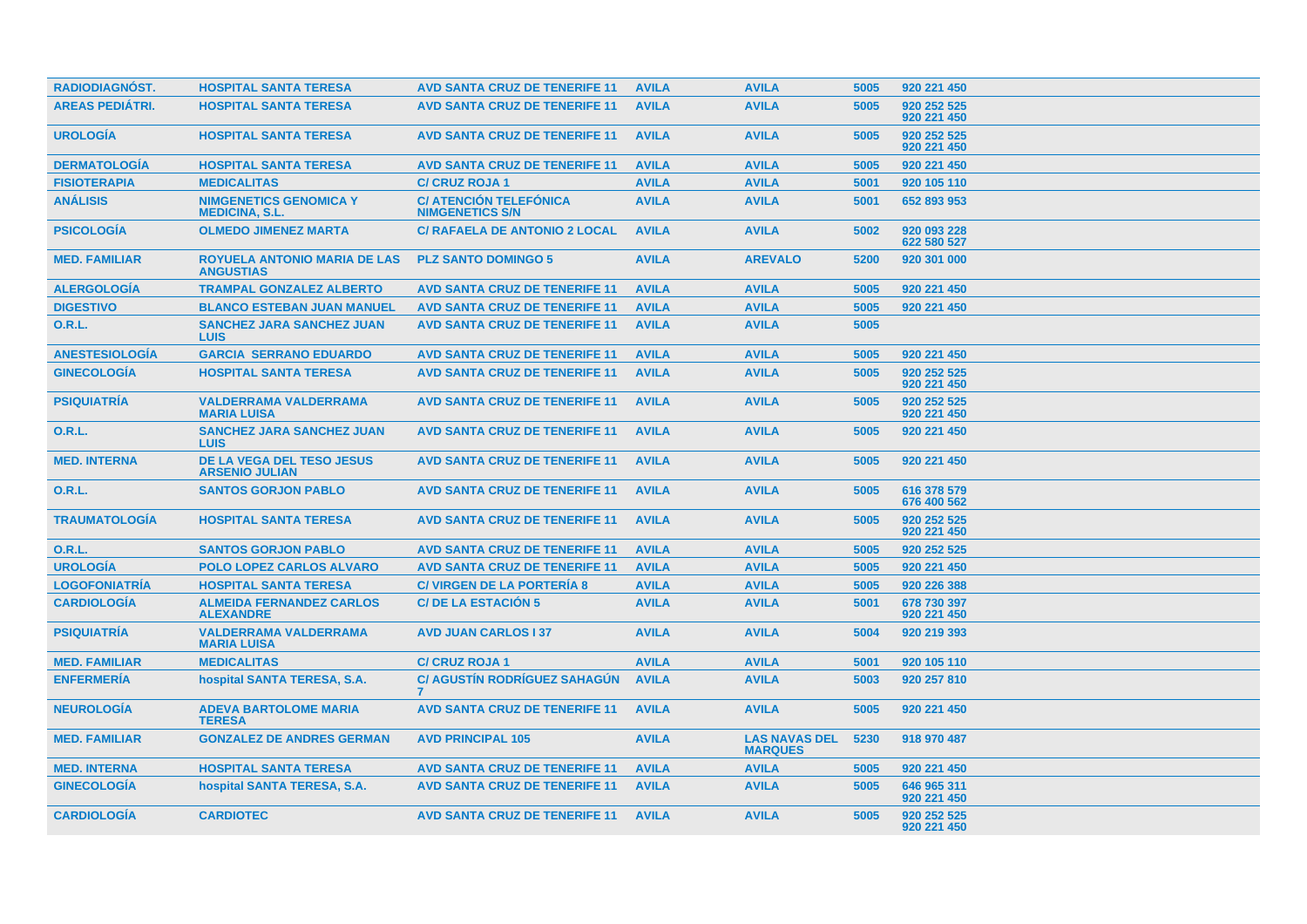| <b>RADIODIAGNOST.</b>  | <b>HOSPITAL SANTA TERESA</b>                              | <b>AVD SANTA CRUZ DE TENERIFE 11</b>                    | <b>AVILA</b> | <b>AVILA</b>                           | 5005 | 920 221 450                |
|------------------------|-----------------------------------------------------------|---------------------------------------------------------|--------------|----------------------------------------|------|----------------------------|
| <b>AREAS PEDIÁTRI.</b> | <b>HOSPITAL SANTA TERESA</b>                              | <b>AVD SANTA CRUZ DE TENERIFE 11</b>                    | <b>AVILA</b> | <b>AVILA</b>                           | 5005 | 920 252 525<br>920 221 450 |
| <b>UROLOGÍA</b>        | <b>HOSPITAL SANTA TERESA</b>                              | <b>AVD SANTA CRUZ DE TENERIFE 11</b>                    | <b>AVILA</b> | <b>AVILA</b>                           | 5005 | 920 252 525<br>920 221 450 |
| <b>DERMATOLOGIA</b>    | <b>HOSPITAL SANTA TERESA</b>                              | <b>AVD SANTA CRUZ DE TENERIFE 11</b>                    | <b>AVILA</b> | <b>AVILA</b>                           | 5005 | 920 221 450                |
| <b>FISIOTERAPIA</b>    | <b>MEDICALITAS</b>                                        | <b>C/ CRUZ ROJA 1</b>                                   | <b>AVILA</b> | <b>AVILA</b>                           | 5001 | 920 105 110                |
| <b>ANÁLISIS</b>        | <b>NIMGENETICS GENOMICA Y</b><br><b>MEDICINA, S.L.</b>    | <b>C/ ATENCIÓN TELEFÓNICA</b><br><b>NIMGENETICS S/N</b> | <b>AVILA</b> | <b>AVILA</b>                           | 5001 | 652 893 953                |
| <b>PSICOLOGIA</b>      | <b>OLMEDO JIMENEZ MARTA</b>                               | <b>C/ RAFAELA DE ANTONIO 2 LOCAL</b>                    | <b>AVILA</b> | <b>AVILA</b>                           | 5002 | 920 093 228<br>622 580 527 |
| <b>MED. FAMILIAR</b>   | <b>ROYUELA ANTONIO MARIA DE LAS</b><br><b>ANGUSTIAS</b>   | <b>PLZ SANTO DOMINGO 5</b>                              | <b>AVILA</b> | <b>AREVALO</b>                         | 5200 | 920 301 000                |
| <b>ALERGOLOGÍA</b>     | <b>TRAMPAL GONZALEZ ALBERTO</b>                           | <b>AVD SANTA CRUZ DE TENERIFE 11</b>                    | <b>AVILA</b> | <b>AVILA</b>                           | 5005 | 920 221 450                |
| <b>DIGESTIVO</b>       | <b>BLANCO ESTEBAN JUAN MANUEL</b>                         | <b>AVD SANTA CRUZ DE TENERIFE 11</b>                    | <b>AVILA</b> | <b>AVILA</b>                           | 5005 | 920 221 450                |
| 0.R.L.                 | <b>SANCHEZ JARA SANCHEZ JUAN</b><br><b>LUIS</b>           | <b>AVD SANTA CRUZ DE TENERIFE 11</b>                    | <b>AVILA</b> | <b>AVILA</b>                           | 5005 |                            |
| <b>ANESTESIOLOGÍA</b>  | <b>GARCIA SERRANO EDUARDO</b>                             | <b>AVD SANTA CRUZ DE TENERIFE 11</b>                    | <b>AVILA</b> | <b>AVILA</b>                           | 5005 | 920 221 450                |
| <b>GINECOLOGIA</b>     | <b>HOSPITAL SANTA TERESA</b>                              | <b>AVD SANTA CRUZ DE TENERIFE 11</b>                    | <b>AVILA</b> | <b>AVILA</b>                           | 5005 | 920 252 525<br>920 221 450 |
| <b>PSIQUIATRÍA</b>     | <b>VALDERRAMA VALDERRAMA</b><br><b>MARIA LUISA</b>        | <b>AVD SANTA CRUZ DE TENERIFE 11</b>                    | <b>AVILA</b> | <b>AVILA</b>                           | 5005 | 920 252 525<br>920 221 450 |
| O.R.L.                 | <b>SANCHEZ JARA SANCHEZ JUAN</b><br><b>LUIS</b>           | <b>AVD SANTA CRUZ DE TENERIFE 11</b>                    | <b>AVILA</b> | <b>AVILA</b>                           | 5005 | 920 221 450                |
| <b>MED. INTERNA</b>    | <b>DE LA VEGA DEL TESO JESUS</b><br><b>ARSENIO JULIAN</b> | <b>AVD SANTA CRUZ DE TENERIFE 11</b>                    | <b>AVILA</b> | <b>AVILA</b>                           | 5005 | 920 221 450                |
| <b>O.R.L.</b>          | <b>SANTOS GORJON PABLO</b>                                | <b>AVD SANTA CRUZ DE TENERIFE 11</b>                    | <b>AVILA</b> | <b>AVILA</b>                           | 5005 | 616 378 579<br>676 400 562 |
| <b>TRAUMATOLOGÍA</b>   | <b>HOSPITAL SANTA TERESA</b>                              | <b>AVD SANTA CRUZ DE TENERIFE 11</b>                    | <b>AVILA</b> | <b>AVILA</b>                           | 5005 | 920 252 525<br>920 221 450 |
| 0.R.L.                 | <b>SANTOS GORJON PABLO</b>                                | <b>AVD SANTA CRUZ DE TENERIFE 11</b>                    | <b>AVILA</b> | <b>AVILA</b>                           | 5005 | 920 252 525                |
| <b>UROLOGÍA</b>        | <b>POLO LOPEZ CARLOS ALVARO</b>                           | <b>AVD SANTA CRUZ DE TENERIFE 11</b>                    | <b>AVILA</b> | <b>AVILA</b>                           | 5005 | 920 221 450                |
| <b>LOGOFONIATRÍA</b>   | <b>HOSPITAL SANTA TERESA</b>                              | <b>C/ VIRGEN DE LA PORTERIA 8</b>                       | <b>AVILA</b> | <b>AVILA</b>                           | 5005 | 920 226 388                |
| <b>CARDIOLOGÍA</b>     | <b>ALMEIDA FERNANDEZ CARLOS</b><br><b>ALEXANDRE</b>       | <b>C/DE LA ESTACIÓN 5</b>                               | <b>AVILA</b> | <b>AVILA</b>                           | 5001 | 678 730 397<br>920 221 450 |
| <b>PSIQUIATRÍA</b>     | <b>VALDERRAMA VALDERRAMA</b><br><b>MARIA LUISA</b>        | <b>AVD JUAN CARLOS I 37</b>                             | <b>AVILA</b> | <b>AVILA</b>                           | 5004 | 920 219 393                |
| <b>MED. FAMILIAR</b>   | <b>MEDICALITAS</b>                                        | <b>C/ CRUZ ROJA 1</b>                                   | <b>AVILA</b> | <b>AVILA</b>                           | 5001 | 920 105 110                |
| <b>ENFERMERÍA</b>      | hospital SANTA TERESA, S.A.                               | <b>C/ AGUSTIN RODRIGUEZ SAHAGUN</b><br>7                | <b>AVILA</b> | <b>AVILA</b>                           | 5003 | 920 257 810                |
| <b>NEUROLOGÍA</b>      | <b>ADEVA BARTOLOME MARIA</b><br><b>TERESA</b>             | <b>AVD SANTA CRUZ DE TENERIFE 11</b>                    | <b>AVILA</b> | <b>AVILA</b>                           | 5005 | 920 221 450                |
| <b>MED. FAMILIAR</b>   | <b>GONZALEZ DE ANDRES GERMAN</b>                          | <b>AVD PRINCIPAL 105</b>                                | <b>AVILA</b> | <b>LAS NAVAS DEL</b><br><b>MARQUES</b> | 5230 | 918 970 487                |
| <b>MED. INTERNA</b>    | <b>HOSPITAL SANTA TERESA</b>                              | <b>AVD SANTA CRUZ DE TENERIFE 11</b>                    | <b>AVILA</b> | <b>AVILA</b>                           | 5005 | 920 221 450                |
| <b>GINECOLOGIA</b>     | hospital SANTA TERESA, S.A.                               | <b>AVD SANTA CRUZ DE TENERIFE 11</b>                    | <b>AVILA</b> | <b>AVILA</b>                           | 5005 | 646 965 311<br>920 221 450 |
| <b>CARDIOLOGÍA</b>     | <b>CARDIOTEC</b>                                          | <b>AVD SANTA CRUZ DE TENERIFE 11</b>                    | <b>AVILA</b> | <b>AVILA</b>                           | 5005 | 920 252 525<br>920 221 450 |